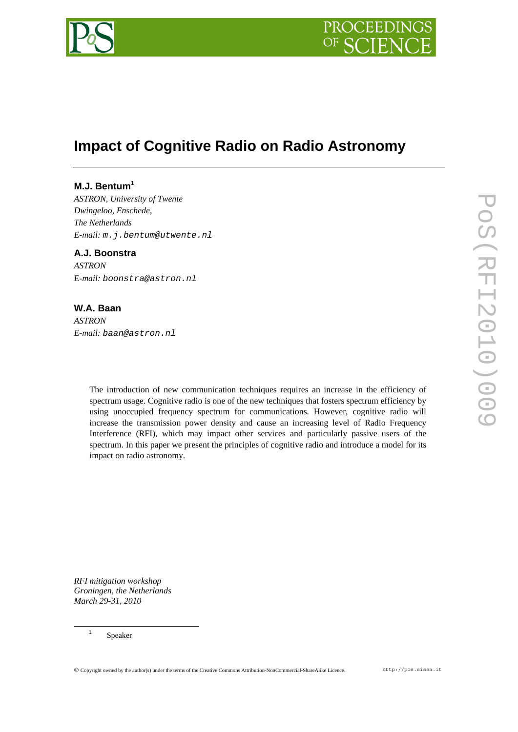

# **Impact of Cognitive Radio on Radio Astronomy**

## **M.J. Bentum<sup>1</sup>**

*ASTRON, University of Twente Dwingeloo, Enschede, The Netherlands E-mail: m.j.bentum@utwente.nl* 

**A.J. Boonstra**  *ASTRON E-mail: boonstra@astron.nl* 

# **W.A. Baan**

*ASTRON E-mail: baan@astron.nl* 

> The introduction of new communication techniques requires an increase in the efficiency of spectrum usage. Cognitive radio is one of the new techniques that fosters spectrum efficiency by using unoccupied frequency spectrum for communications. However, cognitive radio will increase the transmission power density and cause an increasing level of Radio Frequency Interference (RFI), which may impact other services and particularly passive users of the spectrum. In this paper we present the principles of cognitive radio and introduce a model for its impact on radio astronomy.

*RFI mitigation workshop Groningen, the Netherlands March 29-31, 2010*

<sup>1</sup> Speaker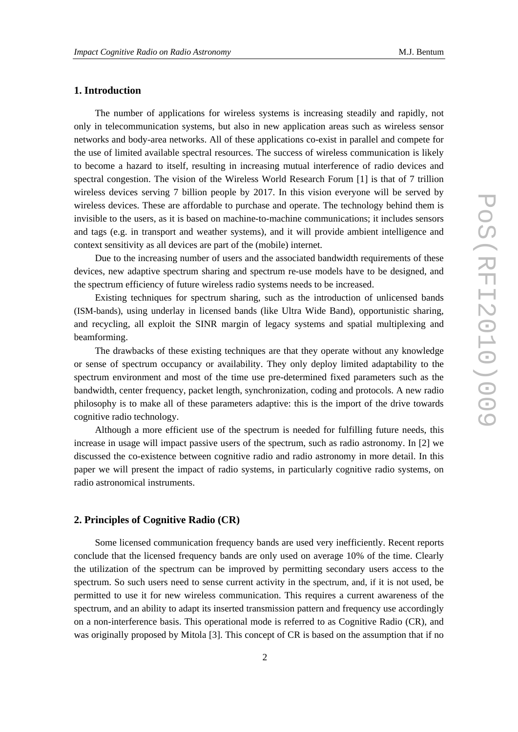## **1. Introduction**

The number of applications for wireless systems is increasing steadily and rapidly, not only in telecommunication systems, but also in new application areas such as wireless sensor networks and body-area networks. All of these applications co-exist in parallel and compete for the use of limited available spectral resources. The success of wireless communication is likely to become a hazard to itself, resulting in increasing mutual interference of radio devices and spectral congestion. The vision of the Wireless World Research Forum [1] is that of 7 trillion wireless devices serving 7 billion people by 2017. In this vision everyone will be served by wireless devices. These are affordable to purchase and operate. The technology behind them is invisible to the users, as it is based on machine-to-machine communications; it includes sensors and tags (e.g. in transport and weather systems), and it will provide ambient intelligence and context sensitivity as all devices are part of the (mobile) internet.

Due to the increasing number of users and the associated bandwidth requirements of these devices, new adaptive spectrum sharing and spectrum re-use models have to be designed, and the spectrum efficiency of future wireless radio systems needs to be increased.

Existing techniques for spectrum sharing, such as the introduction of unlicensed bands (ISM-bands), using underlay in licensed bands (like Ultra Wide Band), opportunistic sharing, and recycling, all exploit the SINR margin of legacy systems and spatial multiplexing and beamforming.

The drawbacks of these existing techniques are that they operate without any knowledge or sense of spectrum occupancy or availability. They only deploy limited adaptability to the spectrum environment and most of the time use pre-determined fixed parameters such as the bandwidth, center frequency, packet length, synchronization, coding and protocols. A new radio philosophy is to make all of these parameters adaptive: this is the import of the drive towards cognitive radio technology.

Although a more efficient use of the spectrum is needed for fulfilling future needs, this increase in usage will impact passive users of the spectrum, such as radio astronomy. In [2] we discussed the co-existence between cognitive radio and radio astronomy in more detail. In this paper we will present the impact of radio systems, in particularly cognitive radio systems, on radio astronomical instruments.

## **2. Principles of Cognitive Radio (CR)**

Some licensed communication frequency bands are used very inefficiently. Recent reports conclude that the licensed frequency bands are only used on average 10% of the time. Clearly the utilization of the spectrum can be improved by permitting secondary users access to the spectrum. So such users need to sense current activity in the spectrum, and, if it is not used, be permitted to use it for new wireless communication. This requires a current awareness of the spectrum, and an ability to adapt its inserted transmission pattern and frequency use accordingly on a non-interference basis. This operational mode is referred to as Cognitive Radio (CR), and was originally proposed by Mitola [3]. This concept of CR is based on the assumption that if no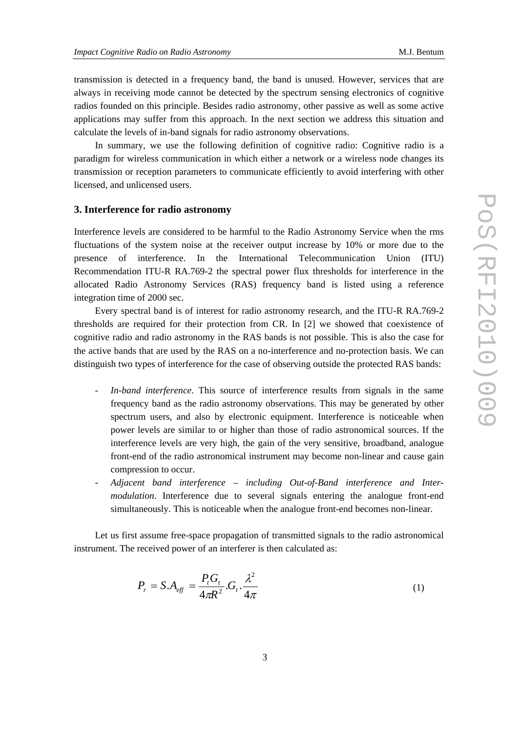transmission is detected in a frequency band, the band is unused. However, services that are always in receiving mode cannot be detected by the spectrum sensing electronics of cognitive radios founded on this principle. Besides radio astronomy, other passive as well as some active applications may suffer from this approach. In the next section we address this situation and calculate the levels of in-band signals for radio astronomy observations.

In summary, we use the following definition of cognitive radio: Cognitive radio is a paradigm for wireless communication in which either a network or a wireless node changes its transmission or reception parameters to communicate efficiently to avoid interfering with other licensed, and unlicensed users.

#### **3. Interference for radio astronomy**

Interference levels are considered to be harmful to the Radio Astronomy Service when the rms fluctuations of the system noise at the receiver output increase by 10% or more due to the presence of interference. In the International Telecommunication Union (ITU) Recommendation ITU-R RA.769-2 the spectral power flux thresholds for interference in the allocated Radio Astronomy Services (RAS) frequency band is listed using a reference integration time of 2000 sec.

Every spectral band is of interest for radio astronomy research, and the ITU-R RA.769-2 thresholds are required for their protection from CR. In [2] we showed that coexistence of cognitive radio and radio astronomy in the RAS bands is not possible. This is also the case for the active bands that are used by the RAS on a no-interference and no-protection basis. We can distinguish two types of interference for the case of observing outside the protected RAS bands:

- *In-band interference*. This source of interference results from signals in the same frequency band as the radio astronomy observations. This may be generated by other spectrum users, and also by electronic equipment. Interference is noticeable when power levels are similar to or higher than those of radio astronomical sources. If the interference levels are very high, the gain of the very sensitive, broadband, analogue front-end of the radio astronomical instrument may become non-linear and cause gain compression to occur.
- *Adjacent band interference including Out-of-Band interference and Intermodulation*. Interference due to several signals entering the analogue front-end simultaneously. This is noticeable when the analogue front-end becomes non-linear.

Let us first assume free-space propagation of transmitted signals to the radio astronomical instrument. The received power of an interferer is then calculated as:

$$
P_r = S.A_{\text{eff}} = \frac{P_t G_t}{4\pi R^2} . G_t . \frac{\lambda^2}{4\pi}
$$
 (1)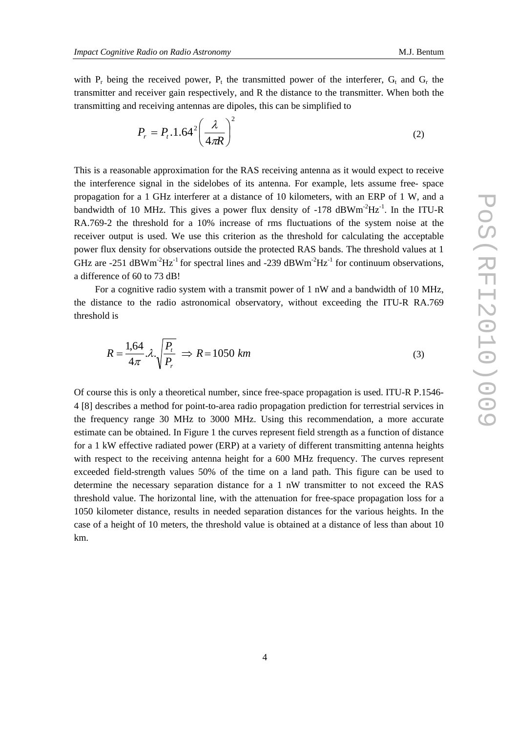with  $P_r$  being the received power,  $P_t$  the transmitted power of the interferer,  $G_t$  and  $G_r$  the transmitter and receiver gain respectively, and R the distance to the transmitter. When both the transmitting and receiving antennas are dipoles, this can be simplified to

$$
P_r = P_t \cdot 1.64^2 \left(\frac{\lambda}{4\pi R}\right)^2 \tag{2}
$$

This is a reasonable approximation for the RAS receiving antenna as it would expect to receive the interference signal in the sidelobes of its antenna. For example, lets assume free- space propagation for a 1 GHz interferer at a distance of 10 kilometers, with an ERP of 1 W, and a bandwidth of 10 MHz. This gives a power flux density of  $-178$  dBWm<sup>-2</sup>Hz<sup>-1</sup>. In the ITU-R RA.769-2 the threshold for a 10% increase of rms fluctuations of the system noise at the receiver output is used. We use this criterion as the threshold for calculating the acceptable power flux density for observations outside the protected RAS bands. The threshold values at 1 GHz are -251 dBWm<sup>-2</sup>Hz<sup>-1</sup> for spectral lines and -239 dBWm<sup>-2</sup>Hz<sup>-1</sup> for continuum observations, a difference of 60 to 73 dB!

For a cognitive radio system with a transmit power of 1 nW and a bandwidth of 10 MHz, the distance to the radio astronomical observatory, without exceeding the ITU-R RA.769 threshold is

$$
R = \frac{1.64}{4\pi} \lambda \sqrt{\frac{P_t}{P_r}} \implies R = 1050 \, \text{km} \tag{3}
$$

Of course this is only a theoretical number, since free-space propagation is used. ITU-R P.1546- 4 [8] describes a method for point-to-area radio propagation prediction for terrestrial services in the frequency range 30 MHz to 3000 MHz. Using this recommendation, a more accurate estimate can be obtained. In Figure 1 the curves represent field strength as a function of distance for a 1 kW effective radiated power (ERP) at a variety of different transmitting antenna heights with respect to the receiving antenna height for a 600 MHz frequency. The curves represent exceeded field-strength values 50% of the time on a land path. This figure can be used to determine the necessary separation distance for a 1 nW transmitter to not exceed the RAS threshold value. The horizontal line, with the attenuation for free-space propagation loss for a 1050 kilometer distance, results in needed separation distances for the various heights. In the case of a height of 10 meters, the threshold value is obtained at a distance of less than about 10 km.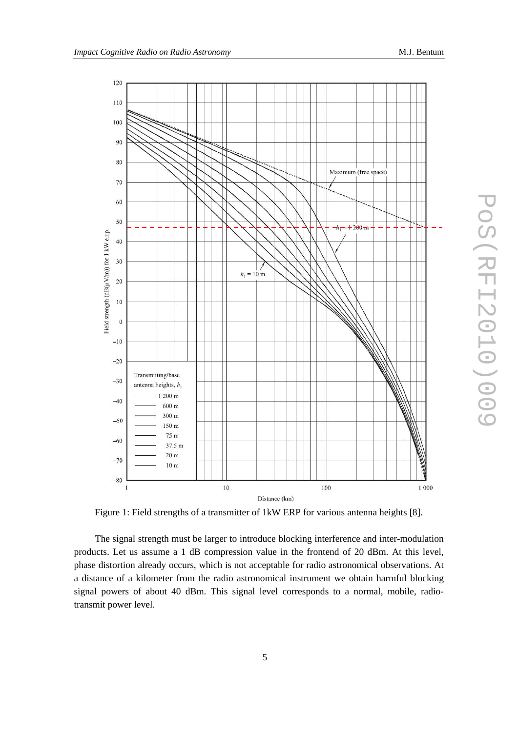



Figure 1: Field strengths of a transmitter of 1kW ERP for various antenna heights [8].

The signal strength must be larger to introduce blocking interference and inter-modulation products. Let us assume a 1 dB compression value in the frontend of 20 dBm. At this level, phase distortion already occurs, which is not acceptable for radio astronomical observations. At a distance of a kilometer from the radio astronomical instrument we obtain harmful blocking signal powers of about 40 dBm. This signal level corresponds to a normal, mobile, radiotransmit power level.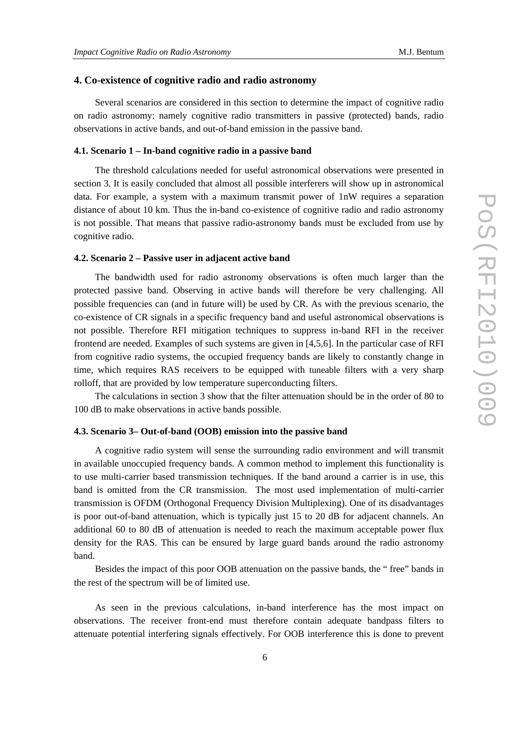## **4. Co-existence of cognitive radio and radio astronomy**

Several scenarios are considered in this section to determine the impact of cognitive radio on radio astronomy: namely cognitive radio transmitters in passive (protected) bands, radio observations in active bands, and out-of-band emission in the passive band.

### **4.1. Scenario 1 – In-band cognitive radio in a passive band**

The threshold calculations needed for useful astronomical observations were presented in section 3. It is easily concluded that almost all possible interferers will show up in astronomical data. For example, a system with a maximum transmit power of 1nW requires a separation distance of about 10 km. Thus the in-band co-existence of cognitive radio and radio astronomy is not possible. That means that passive radio-astronomy bands must be excluded from use by cognitive radio.

#### **4.2. Scenario 2 – Passive user in adjacent active band**

The bandwidth used for radio astronomy observations is often much larger than the protected passive band. Observing in active bands will therefore be very challenging. All possible frequencies can (and in future will) be used by CR. As with the previous scenario, the co-existence of CR signals in a specific frequency band and useful astronomical observations is not possible. Therefore RFI mitigation techniques to suppress in-band RFI in the receiver frontend are needed. Examples of such systems are given in [4,5,6]. In the particular case of RFI from cognitive radio systems, the occupied frequency bands are likely to constantly change in time, which requires RAS receivers to be equipped with tuneable filters with a very sharp rolloff, that are provided by low temperature superconducting filters.

The calculations in section 3 show that the filter attenuation should be in the order of 80 to 100 dB to make observations in active bands possible.

#### **4.3. Scenario 3– Out-of-band (OOB) emission into the passive band**

A cognitive radio system will sense the surrounding radio environment and will transmit in available unoccupied frequency bands. A common method to implement this functionality is to use multi-carrier based transmission techniques. If the band around a carrier is in use, this band is omitted from the CR transmission. The most used implementation of multi-carrier transmission is OFDM (Orthogonal Frequency Division Multiplexing). One of its disadvantages is poor out-of-band attenuation, which is typically just 15 to 20 dB for adjacent channels. An additional 60 to 80 dB of attenuation is needed to reach the maximum acceptable power flux density for the RAS. This can be ensured by large guard bands around the radio astronomy band.

Besides the impact of this poor OOB attenuation on the passive bands, the " free" bands in the rest of the spectrum will be of limited use.

As seen in the previous calculations, in-band interference has the most impact on observations. The receiver front-end must therefore contain adequate bandpass filters to attenuate potential interfering signals effectively. For OOB interference this is done to prevent